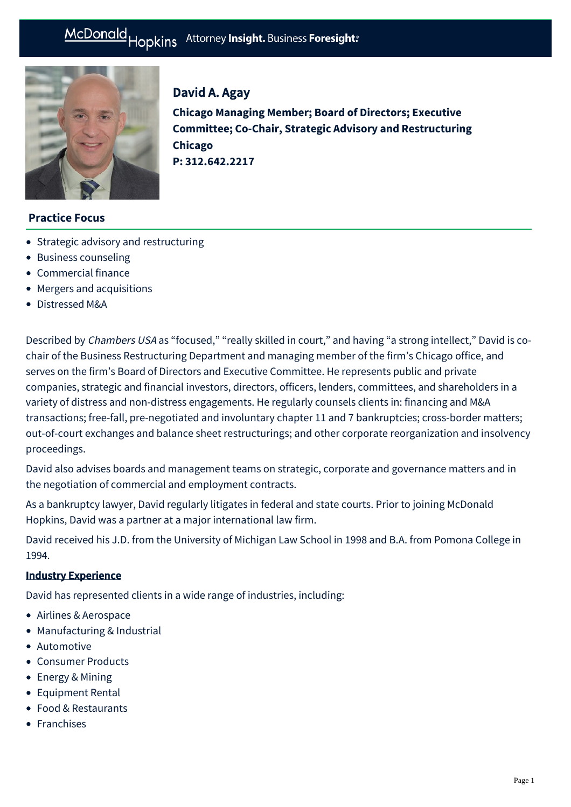# McDonald Hopkins Attorney Insight. Business Foresight:



# David A. Agay

**Chicago Managing Member; Board of Directors; Executive Committee; Co-Chair, Strategic Advisory and Restructuring Chicago P: [312.642.2217](tel:312.642.2217)**

# **Practice Focus**

- [Strategic advisory and restructuring](https://businessadvocate.mcdonaldhopkins.com/Expertise/Strategic-advisory-and-restructuring)
- [Business counseling](https://businessadvocate.mcdonaldhopkins.com/Expertise/Business-counseling)
- [Commercial finance](https://businessadvocate.mcdonaldhopkins.com/Expertise/Finance/Commercial-finance)
- [Mergers and acquisitions](https://businessadvocate.mcdonaldhopkins.com/Expertise/Mergers-and-acquisitions)
- [Distressed M&A](https://businessadvocate.mcdonaldhopkins.com/Expertise/Strategic-advisory-and-restructuring/Distressed-M-A)

Described by Chambers USA as "focused," "really skilled in court," and having "a strong intellect," David is cochair of the Business Restructuring Department and managing member of the firm's Chicago office, and serves on the firm's Board of Directors and Executive Committee. He represents public and private companies, strategic and financial investors, directors, officers, lenders, committees, and shareholders in a variety of distress and non-distress engagements. He regularly counsels clients in: financing and M&A transactions; free-fall, pre-negotiated and involuntary chapter 11 and 7 bankruptcies; cross-border matters; out-of-court exchanges and balance sheet restructurings; and other corporate reorganization and insolvency proceedings.

David also advises boards and management teams on strategic, corporate and governance matters and in the negotiation of commercial and employment contracts.

As a bankruptcy lawyer, David regularly litigates in federal and state courts. Prior to joining McDonald Hopkins, David was a partner at a major international law firm.

David received his J.D. from the University of Michigan Law School in 1998 and B.A. from Pomona College in 1994.

#### Industry Experience

David has represented clients in a wide range of industries, including:

- Airlines & Aerospace
- Manufacturing & Industrial
- Automotive
- Consumer Products
- Energy & Mining
- Equipment Rental
- Food & Restaurants
- Franchises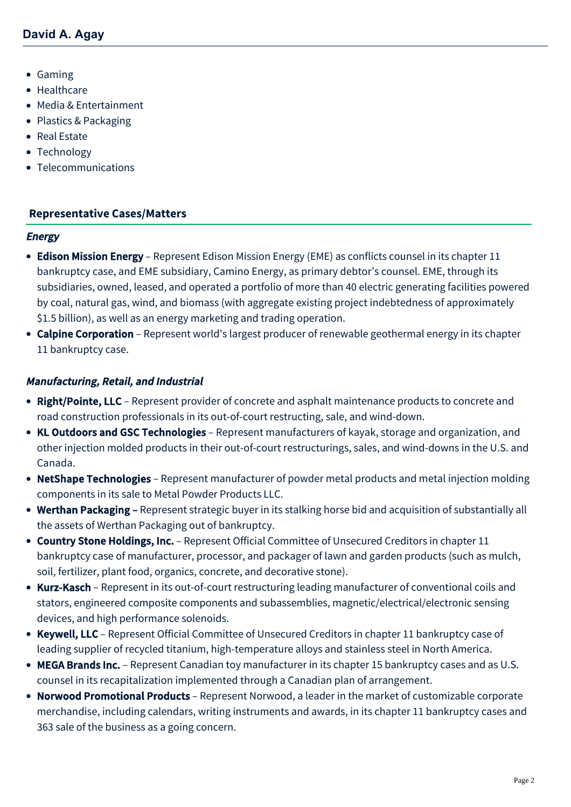- Gaming
- Healthcare
- Media & Entertainment
- Plastics & Packaging
- Real Estate
- Technology
- Telecommunications

#### **[Representative Cases/Matters](#page-1-0)**

#### <span id="page-1-0"></span>**Energy**

- Edison Mission Energy Represent Edison Mission Energy (EME) as conflicts counsel in its chapter 11 bankruptcy case, and EME subsidiary, Camino Energy, as primary debtor's counsel. EME, through its subsidiaries, owned, leased, and operated a portfolio of more than 40 electric generating facilities powered by coal, natural gas, wind, and biomass (with aggregate existing project indebtedness of approximately \$1.5 billion), as well as an energy marketing and trading operation.
- Calpine Corporation Represent world's largest producer of renewable geothermal energy in its chapter 11 bankruptcy case.

#### Manufacturing, Retail, and Industrial

- Right/Pointe, LLC Represent provider of concrete and asphalt maintenance products to concrete and road construction professionals in its out-of-court restructing, sale, and wind-down.
- KL Outdoors and GSC Technologies Represent manufacturers of kayak, storage and organization, and other injection molded products in their out-of-court restructurings, sales, and wind-downs in the U.S. and Canada.
- NetShape Technologies Represent manufacturer of powder metal products and metal injection molding components in its sale to Metal Powder Products LLC.
- Werthan Packaging Represent strategic buyer in its stalking horse bid and acquisition of substantially all the assets of Werthan Packaging out of bankruptcy.
- Country Stone Holdings, Inc. Represent Official Committee of Unsecured Creditors in chapter 11 bankruptcy case of manufacturer, processor, and packager of lawn and garden products (such as mulch, soil, fertilizer, plant food, organics, concrete, and decorative stone).
- Kurz-Kasch Represent in its out-of-court restructuring leading manufacturer of conventional coils and stators, engineered composite components and subassemblies, magnetic/electrical/electronic sensing devices, and high performance solenoids.
- Keywell, LLC Represent Official Committee of Unsecured Creditors in chapter 11 bankruptcy case of leading supplier of recycled titanium, high-temperature alloys and stainless steel in North America.
- MEGA Brands Inc. Represent Canadian toy manufacturer in its chapter 15 bankruptcy cases and as U.S. counsel in its recapitalization implemented through a Canadian plan of arrangement.
- Norwood Promotional Products Represent Norwood, a leader in the market of customizable corporate merchandise, including calendars, writing instruments and awards, in its chapter 11 bankruptcy cases and 363 sale of the business as a going concern.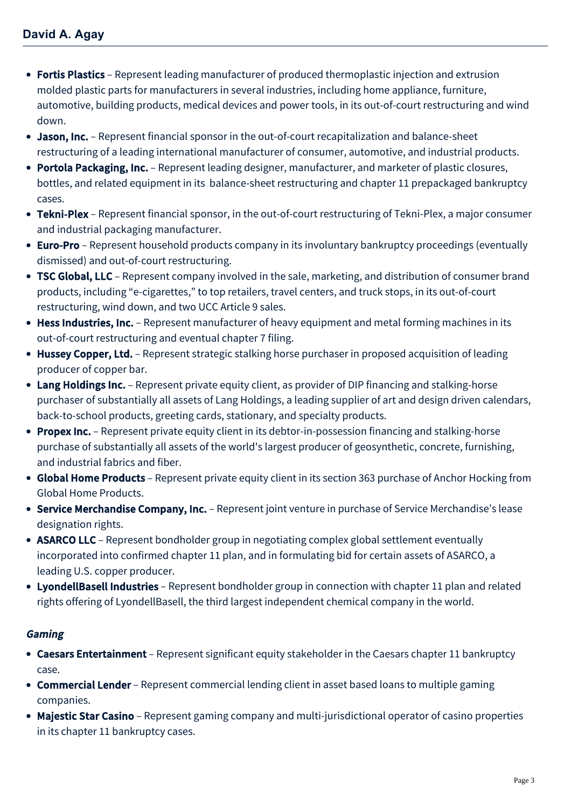- Fortis Plastics Represent leading manufacturer of produced thermoplastic injection and extrusion molded plastic parts for manufacturers in several industries, including home appliance, furniture, automotive, building products, medical devices and power tools, in its out-of-court restructuring and wind down.
- Jason, Inc. Represent financial sponsor in the out-of-court recapitalization and balance-sheet restructuring of a leading international manufacturer of consumer, automotive, and industrial products.
- Portola Packaging, Inc. Represent leading designer, manufacturer, and marketer of plastic closures, bottles, and related equipment in its balance-sheet restructuring and chapter 11 prepackaged bankruptcy cases.
- Tekni-Plex Represent financial sponsor, in the out-of-court restructuring of Tekni-Plex, a major consumer and industrial packaging manufacturer.
- Euro-Pro Represent household products company in its involuntary bankruptcy proceedings (eventually dismissed) and out-of-court restructuring.
- TSC Global, LLC Represent company involved in the sale, marketing, and distribution of consumer brand products, including "e-cigarettes," to top retailers, travel centers, and truck stops, in its out-of-court restructuring, wind down, and two UCC Article 9 sales.
- Hess Industries, Inc. Represent manufacturer of heavy equipment and metal forming machines in its out-of-court restructuring and eventual chapter 7 filing.
- Hussey Copper, Ltd. Represent strategic stalking horse purchaser in proposed acquisition of leading producer of copper bar.
- Lang Holdings Inc. Represent private equity client, as provider of DIP financing and stalking-horse purchaser of substantially all assets of Lang Holdings, a leading supplier of art and design driven calendars, back-to-school products, greeting cards, stationary, and specialty products.
- Propex Inc. Represent private equity client in its debtor-in-possession financing and stalking-horse purchase of substantially all assets of the world's largest producer of geosynthetic, concrete, furnishing, and industrial fabrics and fiber.
- Global Home Products Represent private equity client in its section 363 purchase of Anchor Hocking from Global Home Products.
- Service Merchandise Company, Inc. Represent joint venture in purchase of Service Merchandise's lease designation rights.
- ASARCO LLC Represent bondholder group in negotiating complex global settlement eventually incorporated into confirmed chapter 11 plan, and in formulating bid for certain assets of ASARCO, a leading U.S. copper producer.
- LyondellBasell Industries Represent bondholder group in connection with chapter 11 plan and related rights offering of LyondellBasell, the third largest independent chemical company in the world.

#### Gaming

- Caesars Entertainment Represent significant equity stakeholder in the Caesars chapter 11 bankruptcy case.
- Commercial Lender Represent commercial lending client in asset based loans to multiple gaming companies.
- Majestic Star Casino Represent gaming company and multi-jurisdictional operator of casino properties in its chapter 11 bankruptcy cases.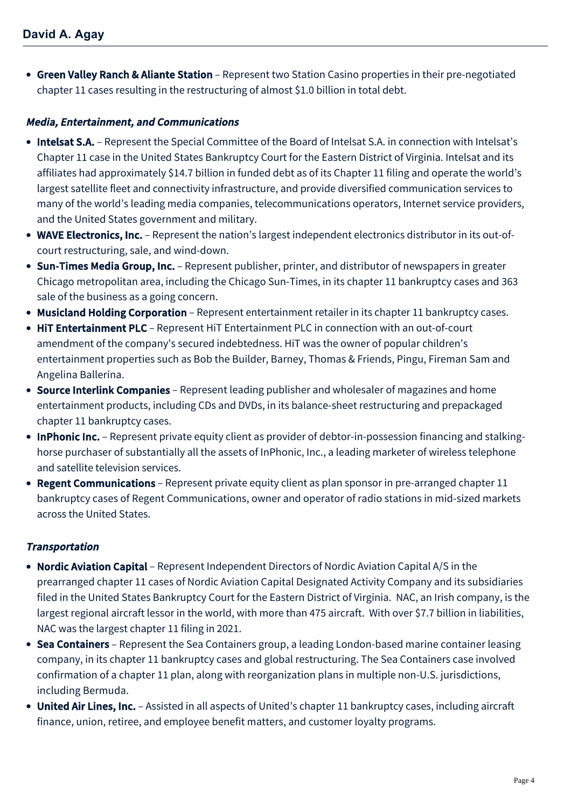• Green Valley Ranch & Aliante Station – Represent two Station Casino properties in their pre-negotiated chapter 11 cases resulting in the restructuring of almost \$1.0 billion in total debt.

# Media, Entertainment, and Communications

- Intelsat S.A. Represent the Special Committee of the Board of Intelsat S.A. in connection with Intelsat's Chapter 11 case in the United States Bankruptcy Court for the Eastern District of Virginia. Intelsat and its affiliates had approximately \$14.7 billion in funded debt as of its Chapter 11 filing and operate the world's largest satellite fleet and connectivity infrastructure, and provide diversified communication services to many of the world's leading media companies, telecommunications operators, Internet service providers, and the United States government and military.
- WAVE Electronics, Inc. Represent the nation's largest independent electronics distributor in its out-ofcourt restructuring, sale, and wind-down.
- Sun-Times Media Group, Inc. Represent publisher, printer, and distributor of newspapers in greater Chicago metropolitan area, including the Chicago Sun-Times, in its chapter 11 bankruptcy cases and 363 sale of the business as a going concern.
- Musicland Holding Corporation Represent entertainment retailer in its chapter 11 bankruptcy cases.
- HiT Entertainment PLC Represent HiT Entertainment PLC in connection with an out-of-court amendment of the company's secured indebtedness. HiT was the owner of popular children's entertainment properties such as Bob the Builder, Barney, Thomas & Friends, Pingu, Fireman Sam and Angelina Ballerina.
- Source Interlink Companies Represent leading publisher and wholesaler of magazines and home entertainment products, including CDs and DVDs, in its balance-sheet restructuring and prepackaged chapter 11 bankruptcy cases.
- InPhonic Inc. Represent private equity client as provider of debtor-in-possession financing and stalkinghorse purchaser of substantially all the assets of InPhonic, Inc., a leading marketer of wireless telephone and satellite television services.
- Regent Communications Represent private equity client as plan sponsor in pre-arranged chapter 11 bankruptcy cases of Regent Communications, owner and operator of radio stations in mid-sized markets across the United States.

#### **Transportation**

- Nordic Aviation Capital Represent Independent Directors of Nordic Aviation Capital A/S in the prearranged chapter 11 cases of Nordic Aviation Capital Designated Activity Company and its subsidiaries filed in the United States Bankruptcy Court for the Eastern District of Virginia. NAC, an Irish company, is the largest regional aircraft lessor in the world, with more than 475 aircraft. With over \$7.7 billion in liabilities, NAC was the largest chapter 11 filing in 2021.
- Sea Containers Represent the Sea Containers group, a leading London-based marine container leasing company, in its chapter 11 bankruptcy cases and global restructuring. The Sea Containers case involved confirmation of a chapter 11 plan, along with reorganization plans in multiple non-U.S. jurisdictions, including Bermuda.
- United Air Lines, Inc. Assisted in all aspects of United's chapter 11 bankruptcy cases, including aircraft finance, union, retiree, and employee benefit matters, and customer loyalty programs.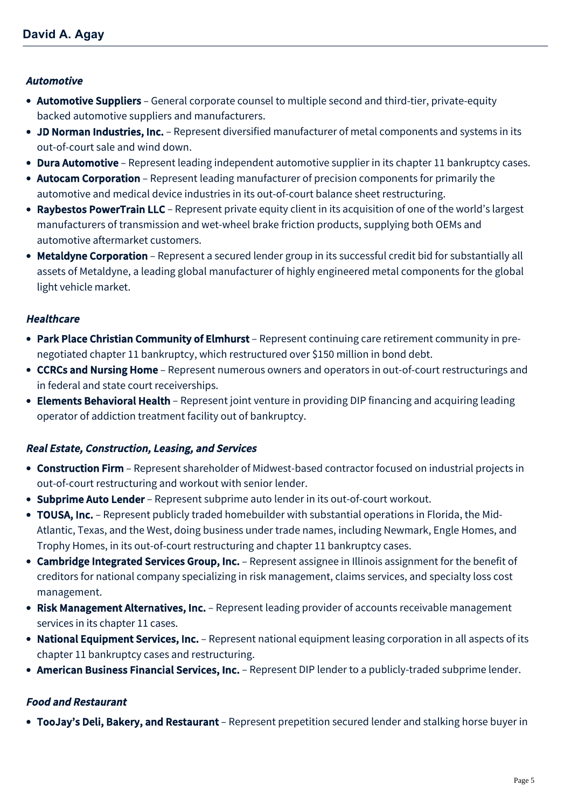#### Automotive

- Automotive Suppliers General corporate counsel to multiple second and third-tier, private-equity backed automotive suppliers and manufacturers.
- JD Norman Industries, Inc. Represent diversified manufacturer of metal components and systems in its out-of-court sale and wind down.
- Dura Automotive Represent leading independent automotive supplier in its chapter 11 bankruptcy cases.
- Autocam Corporation Represent leading manufacturer of precision components for primarily the automotive and medical device industries in its out-of-court balance sheet restructuring.
- Raybestos PowerTrain LLC Represent private equity client in its acquisition of one of the world's largest manufacturers of transmission and wet-wheel brake friction products, supplying both OEMs and automotive aftermarket customers.
- Metaldyne Corporation Represent a secured lender group in its successful credit bid for substantially all assets of Metaldyne, a leading global manufacturer of highly engineered metal components for the global light vehicle market.

#### **Healthcare**

- Park Place Christian Community of Elmhurst Represent continuing care retirement community in prenegotiated chapter 11 bankruptcy, which restructured over \$150 million in bond debt.
- CCRCs and Nursing Home Represent numerous owners and operators in out-of-court restructurings and in federal and state court receiverships.
- Elements Behavioral Health Represent joint venture in providing DIP financing and acquiring leading operator of addiction treatment facility out of bankruptcy.

#### Real Estate, Construction, Leasing, and Services

- Construction Firm Represent shareholder of Midwest-based contractor focused on industrial projects in out-of-court restructuring and workout with senior lender.
- Subprime Auto Lender Represent subprime auto lender in its out-of-court workout.
- TOUSA, Inc. Represent publicly traded homebuilder with substantial operations in Florida, the Mid-Atlantic, Texas, and the West, doing business under trade names, including Newmark, Engle Homes, and Trophy Homes, in its out-of-court restructuring and chapter 11 bankruptcy cases.
- Cambridge Integrated Services Group, Inc. Represent assignee in Illinois assignment for the benefit of creditors for national company specializing in risk management, claims services, and specialty loss cost management.
- Risk Management Alternatives, Inc. Represent leading provider of accounts receivable management services in its chapter 11 cases.
- National Equipment Services, Inc. Represent national equipment leasing corporation in all aspects of its chapter 11 bankruptcy cases and restructuring.
- American Business Financial Services, Inc. Represent DIP lender to a publicly-traded subprime lender.

#### Food and Restaurant

• TooJay's Deli, Bakery, and Restaurant – Represent prepetition secured lender and stalking horse buyer in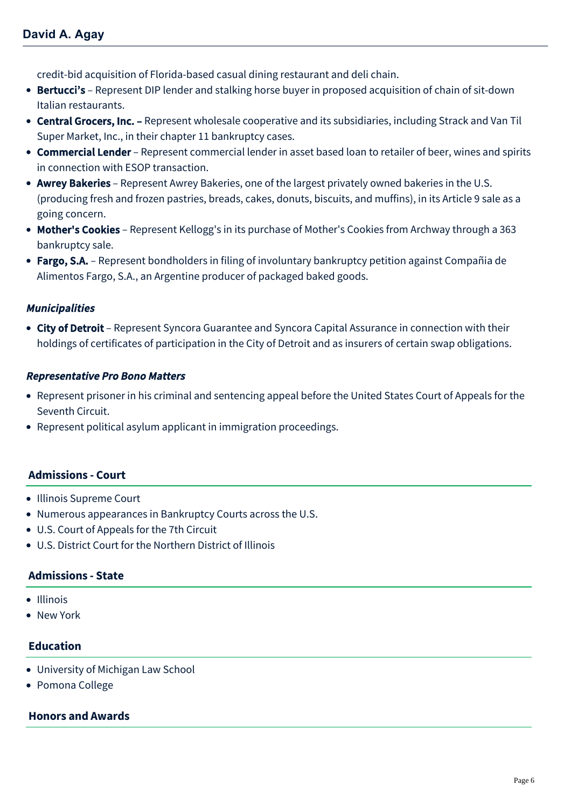credit-bid acquisition of Florida-based casual dining restaurant and deli chain.

- Bertucci's Represent DIP lender and stalking horse buyer in proposed acquisition of chain of sit-down Italian restaurants.
- Central Grocers, Inc. Represent wholesale cooperative and its subsidiaries, including Strack and Van Til Super Market, Inc., in their chapter 11 bankruptcy cases.
- Commercial Lender Represent commercial lender in asset based loan to retailer of beer, wines and spirits in connection with ESOP transaction.
- Awrey Bakeries Represent Awrey Bakeries, one of the largest privately owned bakeries in the U.S. (producing fresh and frozen pastries, breads, cakes, donuts, biscuits, and muffins), in its Article 9 sale as a going concern.
- Mother's Cookies Represent Kellogg's in its purchase of Mother's Cookies from Archway through a 363 bankruptcy sale.
- Fargo, S.A. Represent bondholders in filing of involuntary bankruptcy petition against Compañia de Alimentos Fargo, S.A., an Argentine producer of packaged baked goods.

#### Municipalities

• City of Detroit – Represent Syncora Guarantee and Syncora Capital Assurance in connection with their holdings of certificates of participation in the City of Detroit and as insurers of certain swap obligations.

#### Representative Pro Bono Matters

- Represent prisoner in his criminal and sentencing appeal before the United States Court of Appeals for the Seventh Circuit.
- Represent political asylum applicant in immigration proceedings.

#### **Admissions - Court**

- Illinois Supreme Court
- Numerous appearances in Bankruptcy Courts across the U.S.
- U.S. Court of Appeals for the 7th Circuit
- U.S. District Court for the Northern District of Illinois

#### **Admissions - State**

- Illinois
- New York

#### **Education**

- University of Michigan Law School
- Pomona College

#### **Honors and Awards**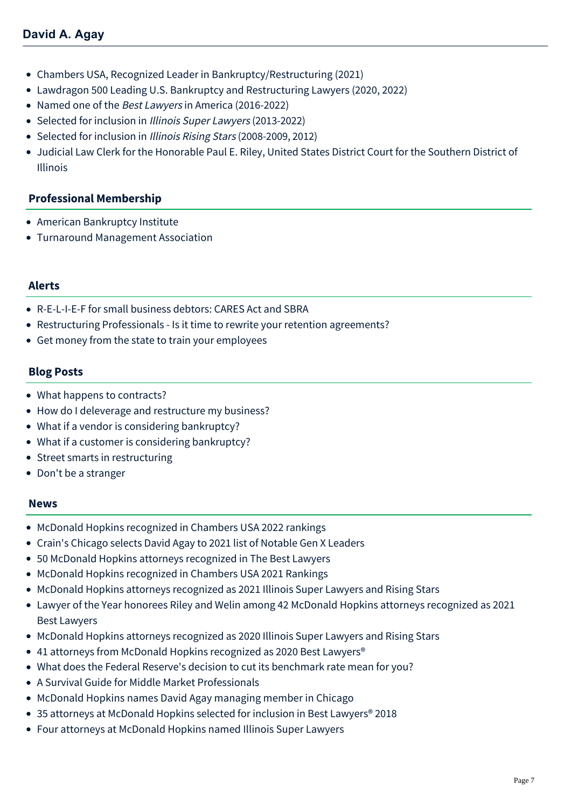- Chambers USA, Recognized Leader in Bankruptcy/Restructuring (2021)
- Lawdragon 500 Leading U.S. Bankruptcy and Restructuring Lawyers (2020, 2022)
- Named one of the Best Lawyers in America (2016-2022)
- Selected for inclusion in Illinois Super Lawyers (2013-2022)
- Selected for inclusion in Illinois Rising Stars (2008-2009, 2012)
- Judicial Law Clerk for the Honorable Paul E. Riley, United States District Court for the Southern District of Illinois

#### **Professional Membership**

- American Bankruptcy Institute
- Turnaround Management Association

#### **Alerts**

- [R-E-L-I-E-F for small business debtors: CARES Act and SBRA](https://businessadvocate.mcdonaldhopkins.com/Insights/April-2020/Relief-for-small-business-debtors-CARES-Act-and-SB)
- [Restructuring Professionals Is it time to rewrite your retention agreements?](https://businessadvocate.mcdonaldhopkins.com/Insights/July-2016/Restructuring-Professionals-Is-it-time-to-rewrite)
- [Get money from the state to train your employees](https://businessadvocate.mcdonaldhopkins.com/Insights/September-2015/DRAFT-ALERT-Get-money-from-the-state-to-train-your)

#### **Blog Posts**

- [What happens to contracts?](https://businessadvocate.mcdonaldhopkins.com/Insights/March-2020/What-happens-to-contracts)
- [How do I deleverage and restructure my business?](https://businessadvocate.mcdonaldhopkins.com/Insights/March-2020/How-do-I-deleverage-and-restructure-my-business)
- [What if a vendor is considering bankruptcy?](https://businessadvocate.mcdonaldhopkins.com/Insights/March-2020/What-if-a-Vendor-is-Considering-Bankruptcy)
- [What if a customer is considering bankruptcy?](https://businessadvocate.mcdonaldhopkins.com/Insights/March-2020/What-if-a-customer-is-considering-bankruptcy)
- [Street smarts in restructuring](https://businessadvocate.mcdonaldhopkins.com/Insights/March-2020/Street-smarts-in-restructuring)
- [Don't be a stranger](https://businessadvocate.mcdonaldhopkins.com/Insights/March-2020/Dont-be-a-stranger)

#### **News**

- [McDonald Hopkins recognized in Chambers USA 2022 rankings](https://businessadvocate.mcdonaldhopkins.com/Insights/June-2022/McDonald-Hopkins-recognized-in-Chambers-USA-2022)
- [Crain's Chicago selects David Agay to 2021 list of Notable Gen X Leaders](https://businessadvocate.mcdonaldhopkins.com/Insights/November-2021/David-Agay-selected-to-2021-Crains-Chicago-Notable)
- [50 McDonald Hopkins attorneys recognized in The Best Lawyers](https://businessadvocate.mcdonaldhopkins.com/Insights/August-2021/50-McDonald-Hopkins-attorneys-recognized-in-The-Be)
- [McDonald Hopkins recognized in Chambers USA 2021 Rankings](https://businessadvocate.mcdonaldhopkins.com/Insights/May-2021/McDonald-Hopkins-recognized-in-Chambers-USA-2021-R)
- [McDonald Hopkins attorneys recognized as 2021 Illinois Super Lawyers and Rising Stars](https://businessadvocate.mcdonaldhopkins.com/Insights/January-2021/McDonald-Hopkins-attorneys-recognized-as-2021-Illi)
- [Lawyer of the Year honorees Riley and Welin among 42 McDonald Hopkins attorneys recognized as 2021](https://businessadvocate.mcdonaldhopkins.com/Insights/August-2020/Lawyer-of-the-Year-honorees-Riley-and-Welin-among) Best Lawyers
- [McDonald Hopkins attorneys recognized as 2020 Illinois Super Lawyers and Rising Stars](https://businessadvocate.mcdonaldhopkins.com/Insights/February-2020/McDonald-Hopkins-attorneys-recognized-as-2020-Illi)
- [41 attorneys from McDonald Hopkins recognized as 2020 Best Lawyers®](https://businessadvocate.mcdonaldhopkins.com/Insights/August-2019/40-attorneys-from-McDonald-Hopkins-recognized-as-2)
- [What does the Federal Reserve's decision to cut its benchmark rate mean for you?](https://businessadvocate.mcdonaldhopkins.com/Insights/July-2019/What-the-Fed-decision-to-cut-benchmark-rate-means)
- [A Survival Guide for Middle Market Professionals](https://businessadvocate.mcdonaldhopkins.com/Insights/September-2018/A-Survival-Guide-for-Middle-Market-Professionals)
- [McDonald Hopkins names David Agay managing member in Chicago](https://businessadvocate.mcdonaldhopkins.com/Insights/October-2017/McDonald-Hopkins-names-David-Agay-managing-member)
- [35 attorneys at McDonald Hopkins selected for inclusion in Best Lawyers® 2018](https://businessadvocate.mcdonaldhopkins.com/Insights/August-2017/35-attorneys-at-McDonald-Hopkins-selected-for-incl)
- [Four attorneys at McDonald Hopkins named Illinois Super Lawyers](https://businessadvocate.mcdonaldhopkins.com/Insights/January-2017/Four-attorneys-at-McDonald-Hopkins-named-Illinois)